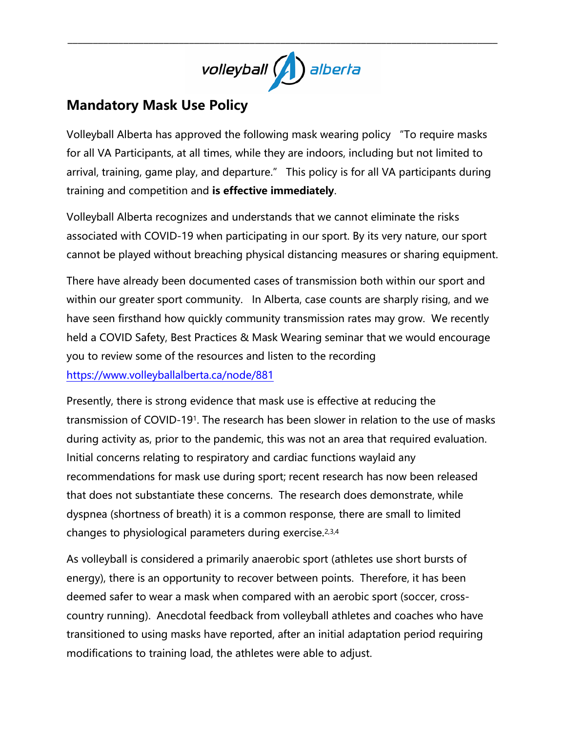

\_\_\_\_\_\_\_\_\_\_\_\_\_\_\_\_\_\_\_\_\_\_\_\_\_\_\_\_\_\_\_\_\_\_\_\_\_\_\_\_\_\_\_\_\_\_\_\_\_\_\_\_\_\_\_\_\_\_\_\_\_\_\_\_\_\_\_\_\_\_\_\_\_\_\_\_\_\_\_\_\_\_\_\_\_

## **Mandatory Mask Use Policy**

Volleyball Alberta has approved the following mask wearing policy "To require masks for all VA Participants, at all times, while they are indoors, including but not limited to arrival, training, game play, and departure." This policy is for all VA participants during training and competition and **is effective immediately**.

Volleyball Alberta recognizes and understands that we cannot eliminate the risks associated with COVID-19 when participating in our sport. By its very nature, our sport cannot be played without breaching physical distancing measures or sharing equipment.

There have already been documented cases of transmission both within our sport and within our greater sport community. In Alberta, case counts are sharply rising, and we have seen firsthand how quickly community transmission rates may grow. We recently held a COVID Safety, Best Practices & Mask Wearing seminar that we would encourage you to review some of the resources and listen to the recording <https://www.volleyballalberta.ca/node/881>

Presently, there is strong evidence that mask use is effective at reducing the transmission of COVID-191. The research has been slower in relation to the use of masks during activity as, prior to the pandemic, this was not an area that required evaluation. Initial concerns relating to respiratory and cardiac functions waylaid any recommendations for mask use during sport; recent research has now been released that does not substantiate these concerns. The research does demonstrate, while dyspnea (shortness of breath) it is a common response, there are small to limited changes to physiological parameters during exercise.2,3,4

As volleyball is considered a primarily anaerobic sport (athletes use short bursts of energy), there is an opportunity to recover between points. Therefore, it has been deemed safer to wear a mask when compared with an aerobic sport (soccer, crosscountry running). Anecdotal feedback from volleyball athletes and coaches who have transitioned to using masks have reported, after an initial adaptation period requiring modifications to training load, the athletes were able to adjust.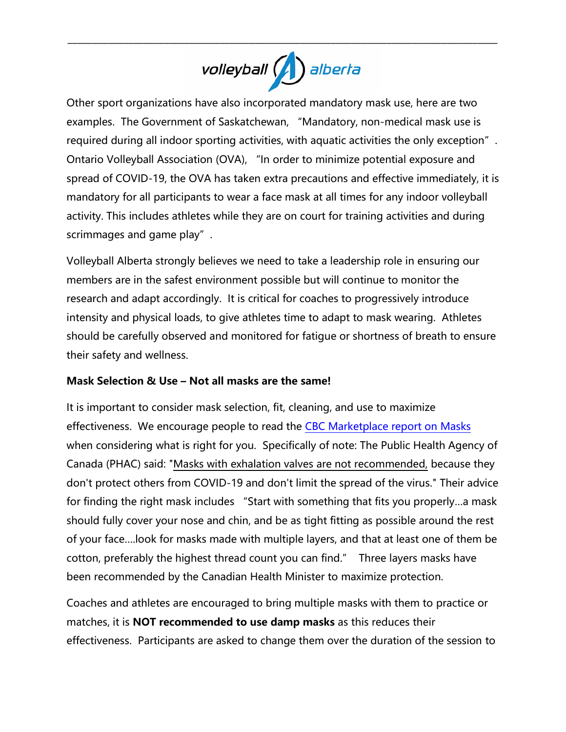## volleyball ( ) alberta

\_\_\_\_\_\_\_\_\_\_\_\_\_\_\_\_\_\_\_\_\_\_\_\_\_\_\_\_\_\_\_\_\_\_\_\_\_\_\_\_\_\_\_\_\_\_\_\_\_\_\_\_\_\_\_\_\_\_\_\_\_\_\_\_\_\_\_\_\_\_\_\_\_\_\_\_\_\_\_\_\_\_\_\_\_

Other sport organizations have also incorporated mandatory mask use, here are two examples. The Government of Saskatchewan, "Mandatory, non-medical mask use is required during all indoor sporting activities, with aquatic activities the only exception". Ontario Volleyball Association (OVA), "In order to minimize potential exposure and spread of COVID-19, the OVA has taken extra precautions and effective immediately, it is mandatory for all participants to wear a face mask at all times for any indoor volleyball activity. This includes athletes while they are on court for training activities and during scrimmages and game play".

Volleyball Alberta strongly believes we need to take a leadership role in ensuring our members are in the safest environment possible but will continue to monitor the research and adapt accordingly. It is critical for coaches to progressively introduce intensity and physical loads, to give athletes time to adapt to mask wearing. Athletes should be carefully observed and monitored for fatigue or shortness of breath to ensure their safety and wellness.

## **Mask Selection & Use – Not all masks are the same!**

It is important to consider mask selection, fit, cleaning, and use to maximize effectiveness. We encourage people to read the [CBC Marketplace report on Masks](https://www.cbc.ca/news/canada/marketplace-masks-test-1.5795481) when considering what is right for you. Specifically of note: The Public Health Agency of Canada (PHAC) said: ["Masks with exhalation valves are not recommended,](https://protect-eu.mimecast.com/s/OstXC19nnf0jLkiLNse4?domain=canada.ca) because they don't protect others from COVID-19 and don't limit the spread of the virus." Their advice for finding the right mask includes "Start with something that fits you properly…a mask should fully cover your nose and chin, and be as tight fitting as possible around the rest of your face….look for masks made with multiple layers, and that at least one of them be cotton, preferably the highest thread count you can find." Three layers masks have been recommended by the Canadian Health Minister to maximize protection.

Coaches and athletes are encouraged to bring multiple masks with them to practice or matches, it is **NOT recommended to use damp masks** as this reduces their effectiveness. Participants are asked to change them over the duration of the session to